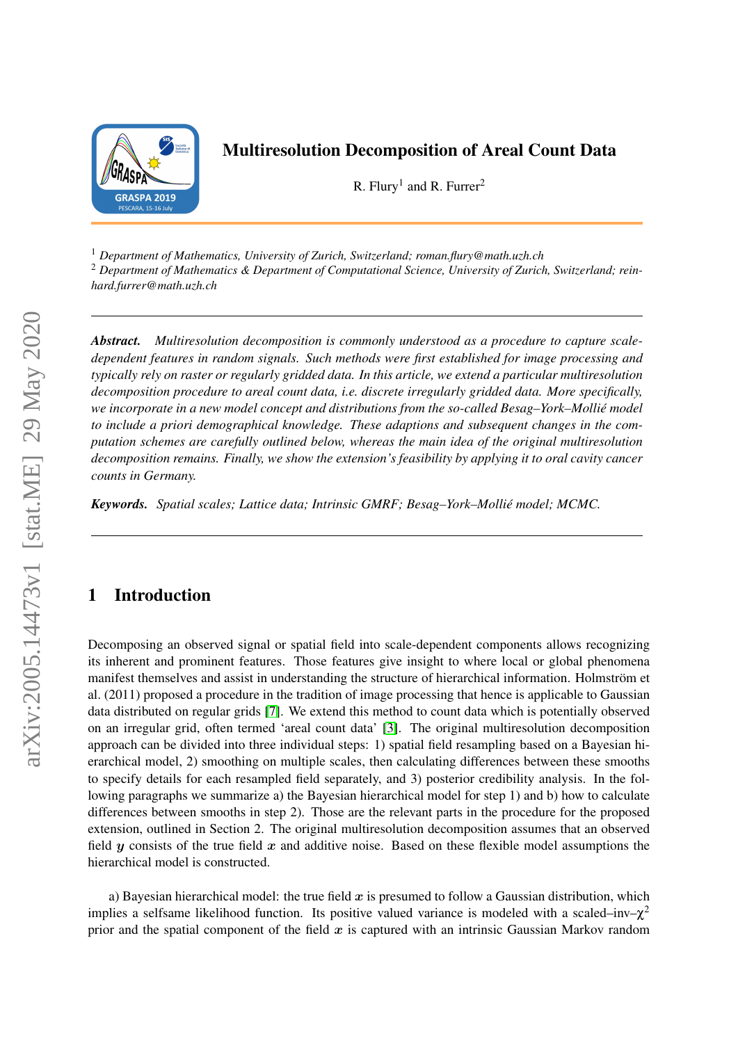

## Multiresolution Decomposition of Areal Count Data

R. Flury<sup>1</sup> and R. Furrer<sup>2</sup>

<sup>1</sup> *Department of Mathematics, University of Zurich, Switzerland; roman.flury@math.uzh.ch*

<sup>2</sup> *Department of Mathematics & Department of Computational Science, University of Zurich, Switzerland; reinhard.furrer@math.uzh.ch*

*Abstract. Multiresolution decomposition is commonly understood as a procedure to capture scaledependent features in random signals. Such methods were first established for image processing and typically rely on raster or regularly gridded data. In this article, we extend a particular multiresolution decomposition procedure to areal count data, i.e. discrete irregularly gridded data. More specifically, we incorporate in a new model concept and distributions from the so-called Besag–York–Mollié model to include a priori demographical knowledge. These adaptions and subsequent changes in the computation schemes are carefully outlined below, whereas the main idea of the original multiresolution decomposition remains. Finally, we show the extension's feasibility by applying it to oral cavity cancer counts in Germany.*

*Keywords. Spatial scales; Lattice data; Intrinsic GMRF; Besag–York–Mollié model; MCMC.*

## 1 Introduction

Decomposing an observed signal or spatial field into scale-dependent components allows recognizing its inherent and prominent features. Those features give insight to where local or global phenomena manifest themselves and assist in understanding the structure of hierarchical information. Holmström et al. (2011) proposed a procedure in the tradition of image processing that hence is applicable to Gaussian data distributed on regular grids [\[7\]](#page-3-0). We extend this method to count data which is potentially observed on an irregular grid, often termed 'areal count data' [\[3\]](#page-3-1). The original multiresolution decomposition approach can be divided into three individual steps: 1) spatial field resampling based on a Bayesian hierarchical model, 2) smoothing on multiple scales, then calculating differences between these smooths to specify details for each resampled field separately, and 3) posterior credibility analysis. In the following paragraphs we summarize a) the Bayesian hierarchical model for step 1) and b) how to calculate differences between smooths in step 2). Those are the relevant parts in the procedure for the proposed extension, outlined in Section 2. The original multiresolution decomposition assumes that an observed field  $y$  consists of the true field  $x$  and additive noise. Based on these flexible model assumptions the hierarchical model is constructed.

a) Bayesian hierarchical model: the true field  $x$  is presumed to follow a Gaussian distribution, which implies a selfsame likelihood function. Its positive valued variance is modeled with a scaled–inv– $\chi^2$ prior and the spatial component of the field  $x$  is captured with an intrinsic Gaussian Markov random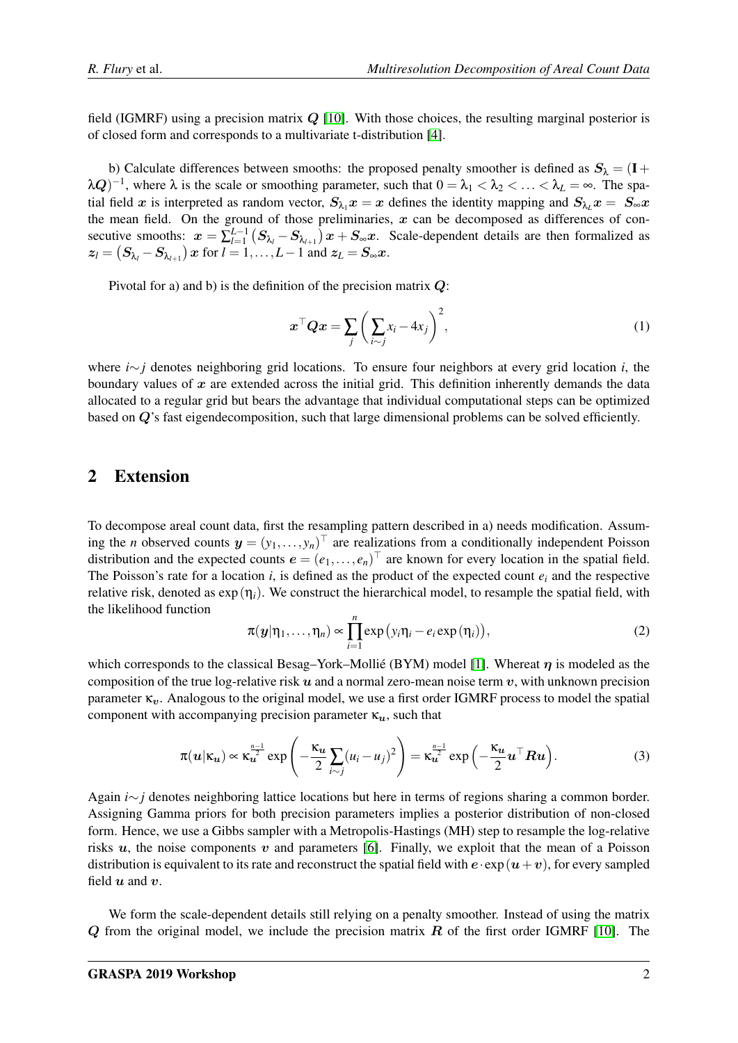field (IGMRF) using a precision matrix  $Q$  [\[10\]](#page-3-2). With those choices, the resulting marginal posterior is of closed form and corresponds to a multivariate t-distribution [\[4\]](#page-3-3).

b) Calculate differences between smooths: the proposed penalty smoother is defined as  $S_{\lambda} = (I +$  $\lambda Q$ )<sup>-1</sup>, where  $\lambda$  is the scale or smoothing parameter, such that  $0 = \lambda_1 < \lambda_2 < \ldots < \lambda_L = \infty$ . The spatial field x is interpreted as random vector,  $S_{\lambda_1}x = x$  defines the identity mapping and  $S_{\lambda_1}x = S_{\infty}x$ the mean field. On the ground of those preliminaries,  $x$  can be decomposed as differences of consecutive smooths:  $x = \sum_{l=1}^{L-1} (S_{\lambda_l} - S_{\lambda_{l+1}}) x + S_{\infty} x$ . Scale-dependent details are then formalized as  $z_l = (S_{\lambda_l} - S_{\lambda_{l+1}}) x$  for  $l = 1, \ldots, L-1$  and  $z_L = S_{\infty} x$ .

Pivotal for a) and b) is the definition of the precision matrix  $Q$ :

$$
\boldsymbol{x}^{\top} \boldsymbol{Q} \boldsymbol{x} = \sum_{j} \left( \sum_{i \sim j} x_i - 4x_j \right)^2, \tag{1}
$$

where *i*∼*j* denotes neighboring grid locations. To ensure four neighbors at every grid location *i*, the boundary values of  $x$  are extended across the initial grid. This definition inherently demands the data allocated to a regular grid but bears the advantage that individual computational steps can be optimized based on  $Q$ 's fast eigendecomposition, such that large dimensional problems can be solved efficiently.

## 2 Extension

To decompose areal count data, first the resampling pattern described in a) needs modification. Assuming the *n* observed counts  $y = (y_1, \ldots, y_n)^\top$  are realizations from a conditionally independent Poisson distribution and the expected counts  $e = (e_1, \ldots, e_n)^\top$  are known for every location in the spatial field. The Poisson's rate for a location  $i$ , is defined as the product of the expected count  $e_i$  and the respective relative risk, denoted as  $\exp(\eta_i)$ . We construct the hierarchical model, to resample the spatial field, with the likelihood function

$$
\pi(\boldsymbol{y}|\eta_1,\ldots,\eta_n) \propto \prod_{i=1}^n \exp(y_i\eta_i - e_i \exp(\eta_i)), \qquad (2)
$$

which corresponds to the classical Besag–York–Mollié (BYM) model [\[1\]](#page-3-4). Whereat  $\eta$  is modeled as the composition of the true log-relative risk  $u$  and a normal zero-mean noise term  $v$ , with unknown precision parameter  $\kappa_n$ . Analogous to the original model, we use a first order IGMRF process to model the spatial component with accompanying precision parameter  $\kappa_u$ , such that

$$
\pi(u|\kappa_u) \propto \kappa_u^{\frac{n-1}{2}} \exp\left(-\frac{\kappa_u}{2} \sum_{i \sim j} (u_i - u_j)^2\right) = \kappa_u^{\frac{n-1}{2}} \exp\left(-\frac{\kappa_u}{2} u^\top R u\right).
$$
 (3)

Again *i*∼*j* denotes neighboring lattice locations but here in terms of regions sharing a common border. Assigning Gamma priors for both precision parameters implies a posterior distribution of non-closed form. Hence, we use a Gibbs sampler with a Metropolis-Hastings (MH) step to resample the log-relative risks  $u$ , the noise components v and parameters [\[6\]](#page-3-5). Finally, we exploit that the mean of a Poisson distribution is equivalent to its rate and reconstruct the spatial field with  $e \cdot \exp(u+v)$ , for every sampled field  $u$  and  $v$ .

We form the scale-dependent details still relying on a penalty smoother. Instead of using the matrix  $Q$  from the original model, we include the precision matrix  $R$  of the first order IGMRF [\[10\]](#page-3-2). The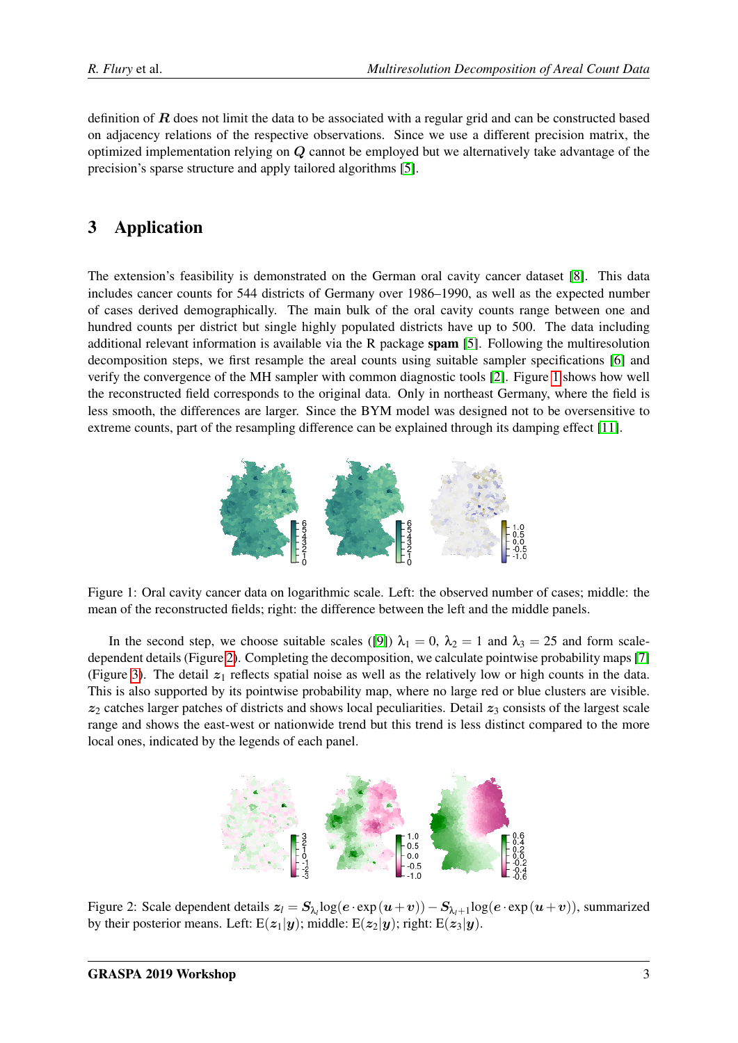definition of  **does not limit the data to be associated with a regular grid and can be constructed based** on adjacency relations of the respective observations. Since we use a different precision matrix, the optimized implementation relying on Q cannot be employed but we alternatively take advantage of the precision's sparse structure and apply tailored algorithms [\[5\]](#page-3-6).

# 3 Application

The extension's feasibility is demonstrated on the German oral cavity cancer dataset [\[8\]](#page-3-7). This data includes cancer counts for 544 districts of Germany over 1986–1990, as well as the expected number of cases derived demographically. The main bulk of the oral cavity counts range between one and hundred counts per district but single highly populated districts have up to 500. The data including additional relevant information is available via the R package spam [\[5\]](#page-3-6). Following the multiresolution decomposition steps, we first resample the areal counts using suitable sampler specifications [\[6\]](#page-3-5) and verify the convergence of the MH sampler with common diagnostic tools [\[2\]](#page-3-8). Figure [1](#page-2-0) shows how well the reconstructed field corresponds to the original data. Only in northeast Germany, where the field is less smooth, the differences are larger. Since the BYM model was designed not to be oversensitive to extreme counts, part of the resampling difference can be explained through its damping effect [\[11\]](#page-3-9).



<span id="page-2-0"></span>Figure 1: Oral cavity cancer data on logarithmic scale. Left: the observed number of cases; middle: the mean of the reconstructed fields; right: the difference between the left and the middle panels.

In the second step, we choose suitable scales ([\[9\]](#page-3-10))  $\lambda_1 = 0$ ,  $\lambda_2 = 1$  and  $\lambda_3 = 25$  and form scaledependent details (Figure [2\)](#page-2-1). Completing the decomposition, we calculate pointwise probability maps [\[7\]](#page-3-0) (Figure [3\)](#page-3-11). The detail  $z_1$  reflects spatial noise as well as the relatively low or high counts in the data. This is also supported by its pointwise probability map, where no large red or blue clusters are visible.  $z_2$  catches larger patches of districts and shows local peculiarities. Detail  $z_3$  consists of the largest scale range and shows the east-west or nationwide trend but this trend is less distinct compared to the more local ones, indicated by the legends of each panel.



<span id="page-2-1"></span>Figure 2: Scale dependent details z*<sup>l</sup>* = Sλ*<sup>l</sup>* log(e · exp(u+v))−Sλ*l*+<sup>1</sup> log(e · exp(u+v)), summarized by their posterior means. Left:  $E(z_1|y)$ ; middle:  $E(z_2|y)$ ; right:  $E(z_3|y)$ .